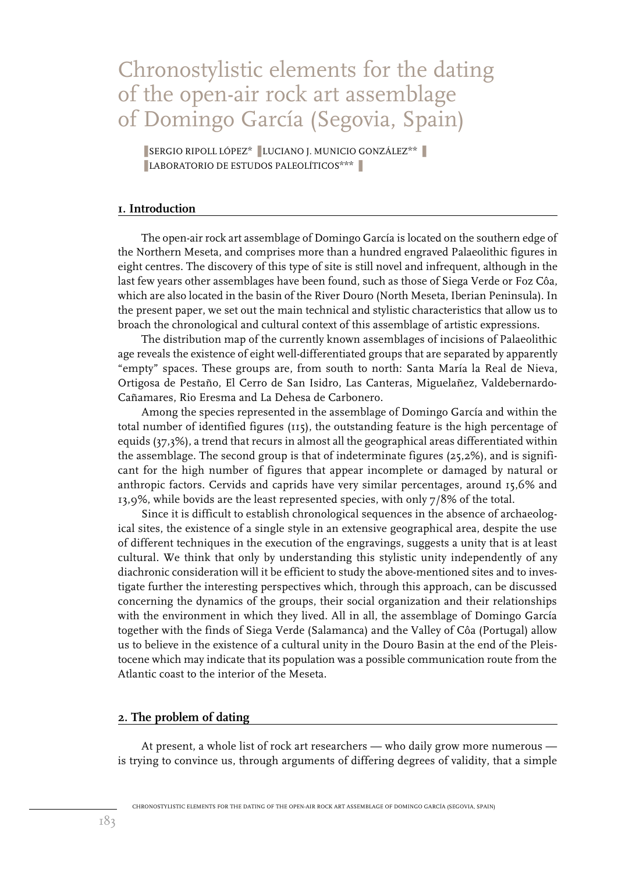# Chronostylistic elements for the dating of the open-air rock art assemblage of Domingo García (Segovia, Spain)

■ SERGIO RIPOLL LÓPEZ<sup>\*</sup> ■ LUCIANO J. MUNICIO GONZÁLEZ<sup>\*\*</sup> ❚ LABORATORIO DE ESTUDOS PALEOLÍTICOS\*\*\* ❚

#### **1. Introduction**

The open-air rock art assemblage of Domingo García is located on the southern edge of the Northern Meseta, and comprises more than a hundred engraved Palaeolithic figures in eight centres. The discovery of this type of site is still novel and infrequent, although in the last few years other assemblages have been found, such as those of Siega Verde or Foz Côa, which are also located in the basin of the River Douro (North Meseta, Iberian Peninsula). In the present paper, we set out the main technical and stylistic characteristics that allow us to broach the chronological and cultural context of this assemblage of artistic expressions.

The distribution map of the currently known assemblages of incisions of Palaeolithic age reveals the existence of eight well-differentiated groups that are separated by apparently "empty" spaces. These groups are, from south to north: Santa María la Real de Nieva, Ortigosa de Pestaño, El Cerro de San Isidro, Las Canteras, Miguelañez, Valdebernardo-Cañamares, Rio Eresma and La Dehesa de Carbonero.

Among the species represented in the assemblage of Domingo García and within the total number of identified figures (115), the outstanding feature is the high percentage of equids (37,3%), a trend that recurs in almost all the geographical areas differentiated within the assemblage. The second group is that of indeterminate figures  $(25,2\%)$ , and is significant for the high number of figures that appear incomplete or damaged by natural or anthropic factors. Cervids and caprids have very similar percentages, around 15,6% and 13,9%, while bovids are the least represented species, with only 7/8% of the total.

Since it is difficult to establish chronological sequences in the absence of archaeological sites, the existence of a single style in an extensive geographical area, despite the use of different techniques in the execution of the engravings, suggests a unity that is at least cultural. We think that only by understanding this stylistic unity independently of any diachronic consideration will it be efficient to study the above-mentioned sites and to investigate further the interesting perspectives which, through this approach, can be discussed concerning the dynamics of the groups, their social organization and their relationships with the environment in which they lived. All in all, the assemblage of Domingo García together with the finds of Siega Verde (Salamanca) and the Valley of Côa (Portugal) allow us to believe in the existence of a cultural unity in the Douro Basin at the end of the Pleistocene which may indicate that its population was a possible communication route from the Atlantic coast to the interior of the Meseta.

#### **2. The problem of dating**

At present, a whole list of rock art researchers — who daily grow more numerous is trying to convince us, through arguments of differing degrees of validity, that a simple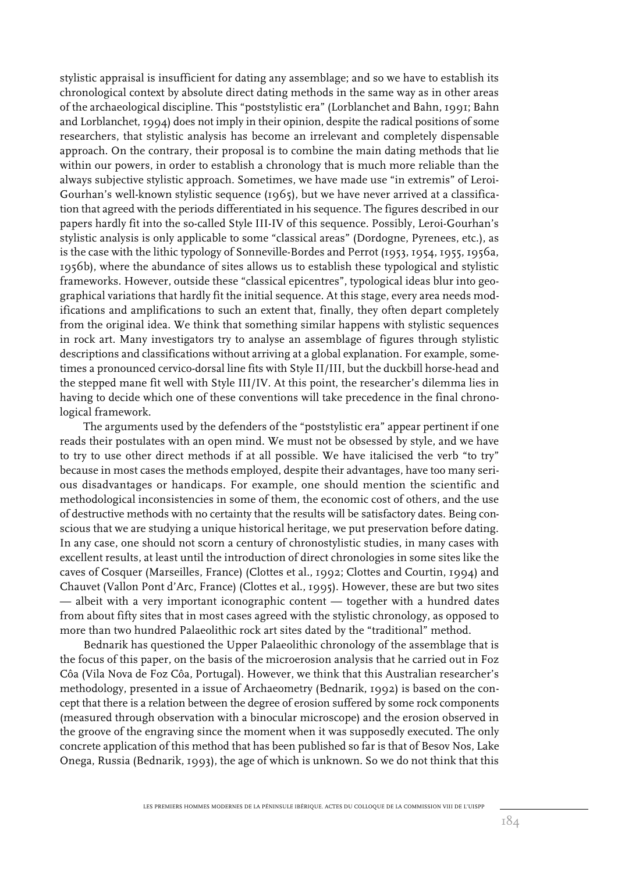stylistic appraisal is insufficient for dating any assemblage; and so we have to establish its chronological context by absolute direct dating methods in the same way as in other areas of the archaeological discipline. This "poststylistic era" (Lorblanchet and Bahn, 1991; Bahn and Lorblanchet, 1994) does not imply in their opinion, despite the radical positions of some researchers, that stylistic analysis has become an irrelevant and completely dispensable approach. On the contrary, their proposal is to combine the main dating methods that lie within our powers, in order to establish a chronology that is much more reliable than the always subjective stylistic approach. Sometimes, we have made use "in extremis" of Leroi-Gourhan's well-known stylistic sequence (1965), but we have never arrived at a classification that agreed with the periods differentiated in his sequence. The figures described in our papers hardly fit into the so-called Style III-IV of this sequence. Possibly, Leroi-Gourhan's stylistic analysis is only applicable to some "classical areas" (Dordogne, Pyrenees, etc.), as is the case with the lithic typology of Sonneville-Bordes and Perrot (1953, 1954, 1955, 1956a, 1956b), where the abundance of sites allows us to establish these typological and stylistic frameworks. However, outside these "classical epicentres", typological ideas blur into geographical variations that hardly fit the initial sequence. At this stage, every area needs modifications and amplifications to such an extent that, finally, they often depart completely from the original idea. We think that something similar happens with stylistic sequences in rock art. Many investigators try to analyse an assemblage of figures through stylistic descriptions and classifications without arriving at a global explanation. For example, sometimes a pronounced cervico-dorsal line fits with Style II/III, but the duckbill horse-head and the stepped mane fit well with Style III/IV. At this point, the researcher's dilemma lies in having to decide which one of these conventions will take precedence in the final chronological framework.

The arguments used by the defenders of the "poststylistic era" appear pertinent if one reads their postulates with an open mind. We must not be obsessed by style, and we have to try to use other direct methods if at all possible. We have italicised the verb "to try" because in most cases the methods employed, despite their advantages, have too many serious disadvantages or handicaps. For example, one should mention the scientific and methodological inconsistencies in some of them, the economic cost of others, and the use of destructive methods with no certainty that the results will be satisfactory dates. Being conscious that we are studying a unique historical heritage, we put preservation before dating. In any case, one should not scorn a century of chronostylistic studies, in many cases with excellent results, at least until the introduction of direct chronologies in some sites like the caves of Cosquer (Marseilles, France) (Clottes et al., 1992; Clottes and Courtin, 1994) and Chauvet (Vallon Pont d'Arc, France) (Clottes et al., 1995). However, these are but two sites — albeit with a very important iconographic content — together with a hundred dates from about fifty sites that in most cases agreed with the stylistic chronology, as opposed to more than two hundred Palaeolithic rock art sites dated by the "traditional" method.

Bednarik has questioned the Upper Palaeolithic chronology of the assemblage that is the focus of this paper, on the basis of the microerosion analysis that he carried out in Foz Côa (Vila Nova de Foz Côa, Portugal). However, we think that this Australian researcher's methodology, presented in a issue of Archaeometry (Bednarik, 1992) is based on the concept that there is a relation between the degree of erosion suffered by some rock components (measured through observation with a binocular microscope) and the erosion observed in the groove of the engraving since the moment when it was supposedly executed. The only concrete application of this method that has been published so far is that of Besov Nos, Lake Onega, Russia (Bednarik, 1993), the age of which is unknown. So we do not think that this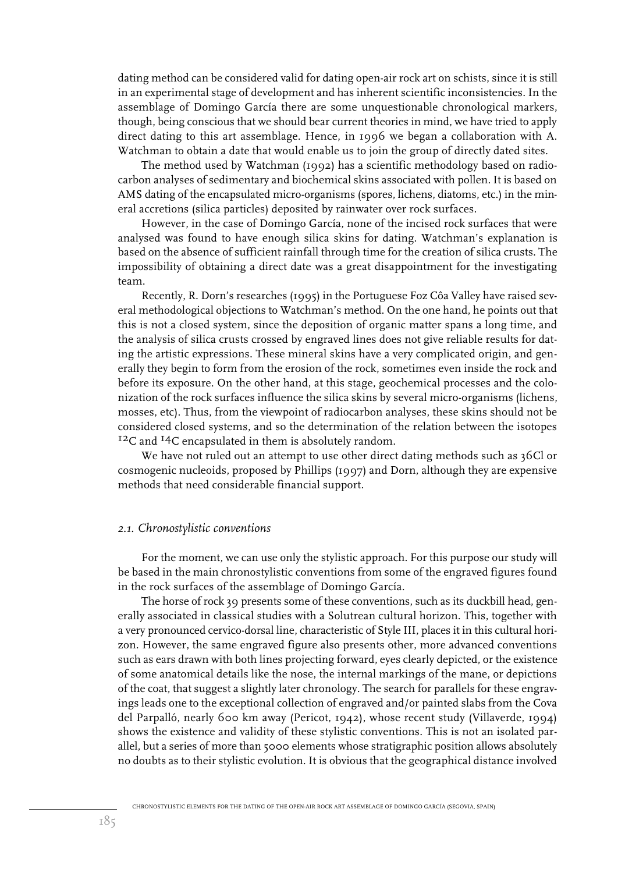dating method can be considered valid for dating open-air rock art on schists, since it is still in an experimental stage of development and has inherent scientific inconsistencies. In the assemblage of Domingo García there are some unquestionable chronological markers, though, being conscious that we should bear current theories in mind, we have tried to apply direct dating to this art assemblage. Hence, in 1996 we began a collaboration with A. Watchman to obtain a date that would enable us to join the group of directly dated sites.

The method used by Watchman (1992) has a scientific methodology based on radiocarbon analyses of sedimentary and biochemical skins associated with pollen. It is based on AMS dating of the encapsulated micro-organisms (spores, lichens, diatoms, etc.) in the mineral accretions (silica particles) deposited by rainwater over rock surfaces.

However, in the case of Domingo García, none of the incised rock surfaces that were analysed was found to have enough silica skins for dating. Watchman's explanation is based on the absence of sufficient rainfall through time for the creation of silica crusts. The impossibility of obtaining a direct date was a great disappointment for the investigating team.

Recently, R. Dorn's researches (1995) in the Portuguese Foz Côa Valley have raised several methodological objections to Watchman's method. On the one hand, he points out that this is not a closed system, since the deposition of organic matter spans a long time, and the analysis of silica crusts crossed by engraved lines does not give reliable results for dating the artistic expressions. These mineral skins have a very complicated origin, and generally they begin to form from the erosion of the rock, sometimes even inside the rock and before its exposure. On the other hand, at this stage, geochemical processes and the colonization of the rock surfaces influence the silica skins by several micro-organisms (lichens, mosses, etc). Thus, from the viewpoint of radiocarbon analyses, these skins should not be considered closed systems, and so the determination of the relation between the isotopes 12C and 14C encapsulated in them is absolutely random.

We have not ruled out an attempt to use other direct dating methods such as 36Cl or cosmogenic nucleoids, proposed by Phillips (1997) and Dorn, although they are expensive methods that need considerable financial support.

#### *2.1. Chronostylistic conventions*

For the moment, we can use only the stylistic approach. For this purpose our study will be based in the main chronostylistic conventions from some of the engraved figures found in the rock surfaces of the assemblage of Domingo García.

The horse of rock 39 presents some of these conventions, such as its duckbill head, generally associated in classical studies with a Solutrean cultural horizon. This, together with a very pronounced cervico-dorsal line, characteristic of Style III, places it in this cultural horizon. However, the same engraved figure also presents other, more advanced conventions such as ears drawn with both lines projecting forward, eyes clearly depicted, or the existence of some anatomical details like the nose, the internal markings of the mane, or depictions of the coat, that suggest a slightly later chronology. The search for parallels for these engravings leads one to the exceptional collection of engraved and/or painted slabs from the Cova del Parpalló, nearly 600 km away (Pericot, 1942), whose recent study (Villaverde, 1994) shows the existence and validity of these stylistic conventions. This is not an isolated parallel, but a series of more than 5000 elements whose stratigraphic position allows absolutely no doubts as to their stylistic evolution. It is obvious that the geographical distance involved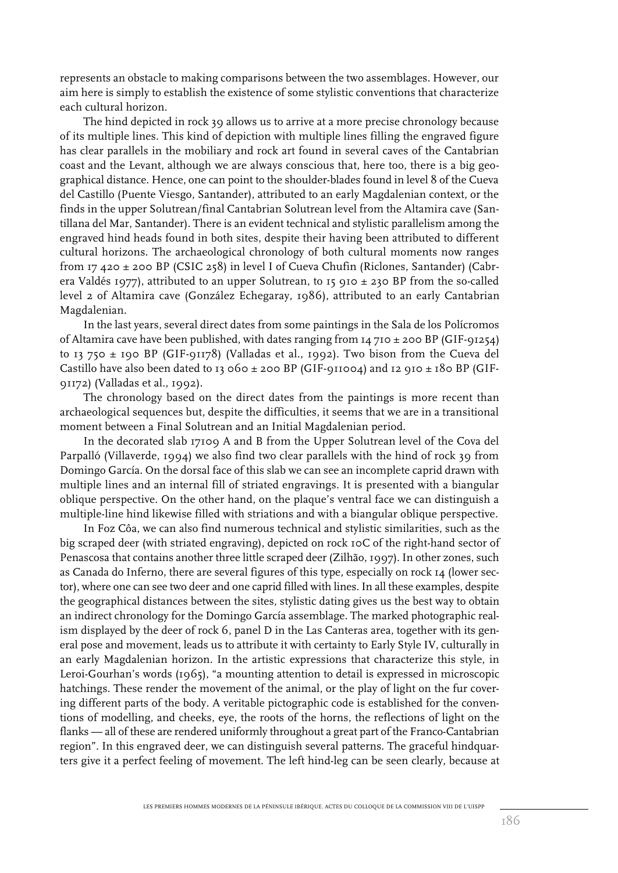represents an obstacle to making comparisons between the two assemblages. However, our aim here is simply to establish the existence of some stylistic conventions that characterize each cultural horizon.

The hind depicted in rock 39 allows us to arrive at a more precise chronology because of its multiple lines. This kind of depiction with multiple lines filling the engraved figure has clear parallels in the mobiliary and rock art found in several caves of the Cantabrian coast and the Levant, although we are always conscious that, here too, there is a big geographical distance. Hence, one can point to the shoulder-blades found in level 8 of the Cueva del Castillo (Puente Viesgo, Santander), attributed to an early Magdalenian context, or the finds in the upper Solutrean/final Cantabrian Solutrean level from the Altamira cave (Santillana del Mar, Santander). There is an evident technical and stylistic parallelism among the engraved hind heads found in both sites, despite their having been attributed to different cultural horizons. The archaeological chronology of both cultural moments now ranges from 17 420 ± 200 BP (CSIC 258) in level I of Cueva Chufin (Riclones, Santander) (Cabrera Valdés 1977), attributed to an upper Solutrean, to 15 910  $\pm$  230 BP from the so-called level 2 of Altamira cave (González Echegaray, 1986), attributed to an early Cantabrian Magdalenian.

In the last years, several direct dates from some paintings in the Sala de los Polícromos of Altamira cave have been published, with dates ranging from 14 710 ± 200 BP (GIF-91254) to 13 750  $\pm$  190 BP (GIF-91178) (Valladas et al., 1992). Two bison from the Cueva del Castillo have also been dated to 13 060  $\pm$  200 BP (GIF-911004) and 12 910  $\pm$  180 BP (GIF-91172) (Valladas et al., 1992).

The chronology based on the direct dates from the paintings is more recent than archaeological sequences but, despite the difficulties, it seems that we are in a transitional moment between a Final Solutrean and an Initial Magdalenian period.

In the decorated slab 17109 A and B from the Upper Solutrean level of the Cova del Parpalló (Villaverde, 1994) we also find two clear parallels with the hind of rock 39 from Domingo García. On the dorsal face of this slab we can see an incomplete caprid drawn with multiple lines and an internal fill of striated engravings. It is presented with a biangular oblique perspective. On the other hand, on the plaque's ventral face we can distinguish a multiple-line hind likewise filled with striations and with a biangular oblique perspective.

In Foz Côa, we can also find numerous technical and stylistic similarities, such as the big scraped deer (with striated engraving), depicted on rock 10C of the right-hand sector of Penascosa that contains another three little scraped deer (Zilhão, 1997). In other zones, such as Canada do Inferno, there are several figures of this type, especially on rock 14 (lower sector), where one can see two deer and one caprid filled with lines. In all these examples, despite the geographical distances between the sites, stylistic dating gives us the best way to obtain an indirect chronology for the Domingo García assemblage. The marked photographic realism displayed by the deer of rock 6, panel D in the Las Canteras area, together with its general pose and movement, leads us to attribute it with certainty to Early Style IV, culturally in an early Magdalenian horizon. In the artistic expressions that characterize this style, in Leroi-Gourhan's words (1965), "a mounting attention to detail is expressed in microscopic hatchings. These render the movement of the animal, or the play of light on the fur covering different parts of the body. A veritable pictographic code is established for the conventions of modelling, and cheeks, eye, the roots of the horns, the reflections of light on the flanks — all of these are rendered uniformly throughout a great part of the Franco-Cantabrian region". In this engraved deer, we can distinguish several patterns. The graceful hindquarters give it a perfect feeling of movement. The left hind-leg can be seen clearly, because at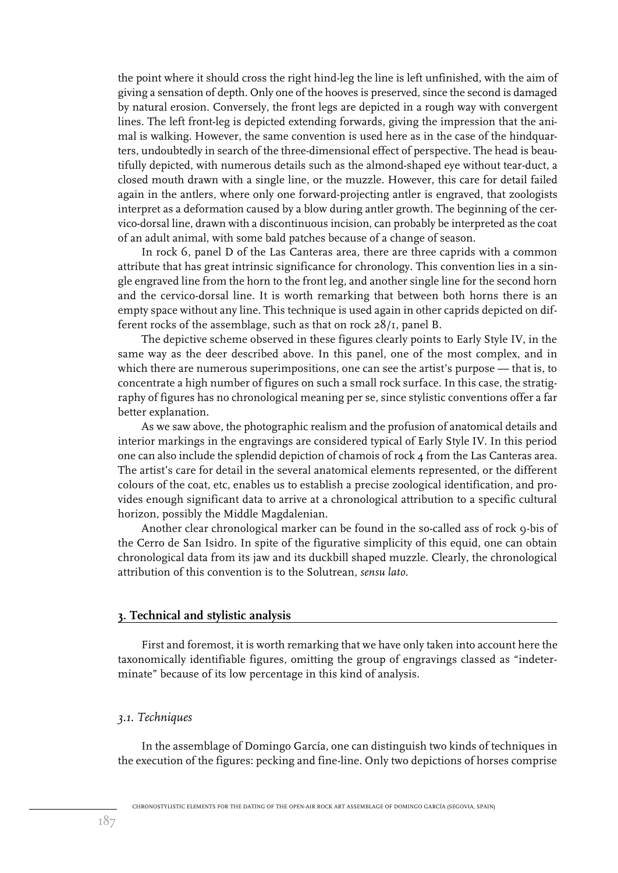the point where it should cross the right hind-leg the line is left unfinished, with the aim of giving a sensation of depth. Only one of the hooves is preserved, since the second is damaged by natural erosion. Conversely, the front legs are depicted in a rough way with convergent lines. The left front-leg is depicted extending forwards, giving the impression that the animal is walking. However, the same convention is used here as in the case of the hindquarters, undoubtedly in search of the three-dimensional effect of perspective. The head is beautifully depicted, with numerous details such as the almond-shaped eye without tear-duct, a closed mouth drawn with a single line, or the muzzle. However, this care for detail failed again in the antlers, where only one forward-projecting antler is engraved, that zoologists interpret as a deformation caused by a blow during antler growth. The beginning of the cervico-dorsal line, drawn with a discontinuous incision, can probably be interpreted as the coat of an adult animal, with some bald patches because of a change of season.

In rock 6, panel D of the Las Canteras area, there are three caprids with a common attribute that has great intrinsic significance for chronology. This convention lies in a single engraved line from the horn to the front leg, and another single line for the second horn and the cervico-dorsal line. It is worth remarking that between both horns there is an empty space without any line. This technique is used again in other caprids depicted on different rocks of the assemblage, such as that on rock 28/1, panel B.

The depictive scheme observed in these figures clearly points to Early Style IV, in the same way as the deer described above. In this panel, one of the most complex, and in which there are numerous superimpositions, one can see the artist's purpose — that is, to concentrate a high number of figures on such a small rock surface. In this case, the stratigraphy of figures has no chronological meaning per se, since stylistic conventions offer a far better explanation.

As we saw above, the photographic realism and the profusion of anatomical details and interior markings in the engravings are considered typical of Early Style IV. In this period one can also include the splendid depiction of chamois of rock 4 from the Las Canteras area. The artist's care for detail in the several anatomical elements represented, or the different colours of the coat, etc, enables us to establish a precise zoological identification, and provides enough significant data to arrive at a chronological attribution to a specific cultural horizon, possibly the Middle Magdalenian.

Another clear chronological marker can be found in the so-called ass of rock 9-bis of the Cerro de San Isidro. In spite of the figurative simplicity of this equid, one can obtain chronological data from its jaw and its duckbill shaped muzzle. Clearly, the chronological attribution of this convention is to the Solutrean, *sensu lato*.

#### **3. Technical and stylistic analysis**

First and foremost, it is worth remarking that we have only taken into account here the taxonomically identifiable figures, omitting the group of engravings classed as "indeterminate" because of its low percentage in this kind of analysis.

#### *3.1. Techniques*

In the assemblage of Domingo García, one can distinguish two kinds of techniques in the execution of the figures: pecking and fine-line. Only two depictions of horses comprise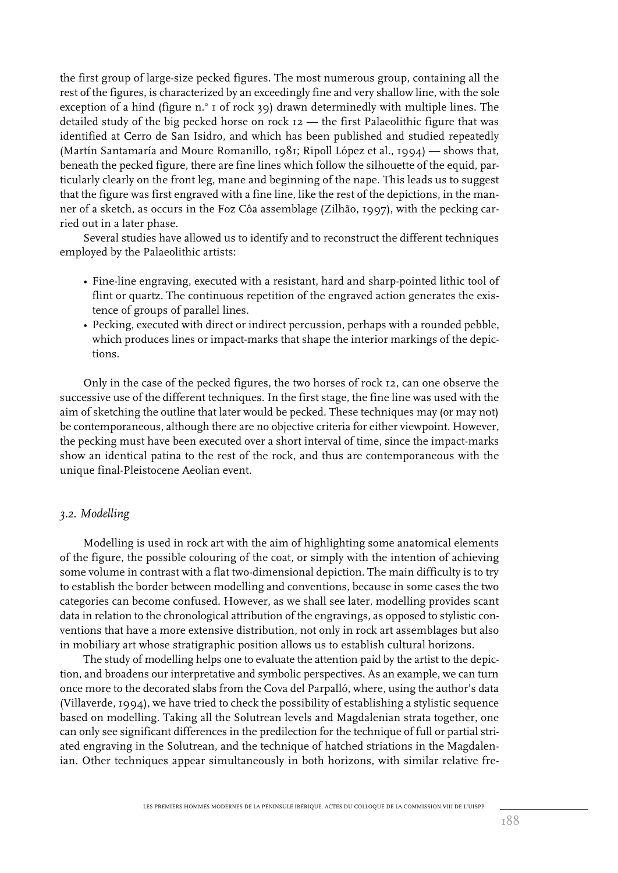the first group of large-size pecked figures. The most numerous group, containing all the rest of the figures, is characterized by an exceedingly fine and very shallow line, with the sole exception of a hind (figure n. $\degree$  1 of rock 39) drawn determinedly with multiple lines. The detailed study of the big pecked horse on rock 12 — the first Palaeolithic figure that was identified at Cerro de San Isidro, and which has been published and studied repeatedly (Martín Santamaría and Moure Romanillo, 1981; Ripoll López et al., 1994) — shows that, beneath the pecked figure, there are fine lines which follow the silhouette of the equid, particularly clearly on the front leg, mane and beginning of the nape. This leads us to suggest that the figure was first engraved with a fine line, like the rest of the depictions, in the manner of a sketch, as occurs in the Foz Côa assemblage (Zilhão, 1997), with the pecking carried out in a later phase.

Several studies have allowed us to identify and to reconstruct the different techniques employed by the Palaeolithic artists:

- Fine-line engraving, executed with a resistant, hard and sharp-pointed lithic tool of flint or quartz. The continuous repetition of the engraved action generates the existence of groups of parallel lines.
- Pecking, executed with direct or indirect percussion, perhaps with a rounded pebble, which produces lines or impact-marks that shape the interior markings of the depictions.

Only in the case of the pecked figures, the two horses of rock 12, can one observe the successive use of the different techniques. In the first stage, the fine line was used with the aim of sketching the outline that later would be pecked. These techniques may (or may not) be contemporaneous, although there are no objective criteria for either viewpoint. However, the pecking must have been executed over a short interval of time, since the impact-marks show an identical patina to the rest of the rock, and thus are contemporaneous with the unique final-Pleistocene Aeolian event.

#### *3.2. Modelling*

Modelling is used in rock art with the aim of highlighting some anatomical elements of the figure, the possible colouring of the coat, or simply with the intention of achieving some volume in contrast with a flat two-dimensional depiction. The main difficulty is to try to establish the border between modelling and conventions, because in some cases the two categories can become confused. However, as we shall see later, modelling provides scant data in relation to the chronological attribution of the engravings, as opposed to stylistic conventions that have a more extensive distribution, not only in rock art assemblages but also in mobiliary art whose stratigraphic position allows us to establish cultural horizons.

The study of modelling helps one to evaluate the attention paid by the artist to the depiction, and broadens our interpretative and symbolic perspectives. As an example, we can turn once more to the decorated slabs from the Cova del Parpalló, where, using the author's data (Villaverde, 1994), we have tried to check the possibility of establishing a stylistic sequence based on modelling. Taking all the Solutrean levels and Magdalenian strata together, one can only see significant differences in the predilection for the technique of full or partial striated engraving in the Solutrean, and the technique of hatched striations in the Magdalenian. Other techniques appear simultaneously in both horizons, with similar relative fre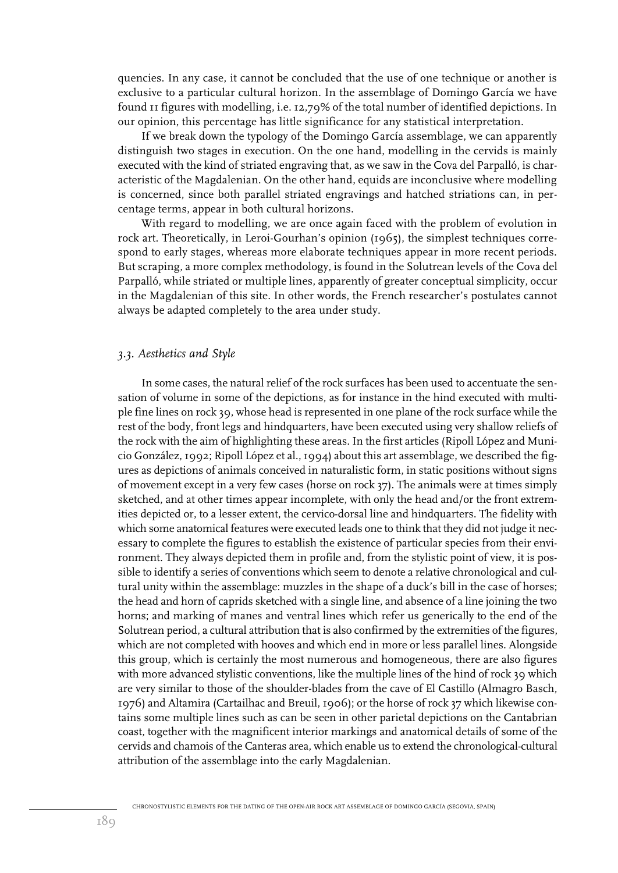quencies. In any case, it cannot be concluded that the use of one technique or another is exclusive to a particular cultural horizon. In the assemblage of Domingo García we have found 11 figures with modelling, i.e. 12,79% of the total number of identified depictions. In our opinion, this percentage has little significance for any statistical interpretation.

If we break down the typology of the Domingo García assemblage, we can apparently distinguish two stages in execution. On the one hand, modelling in the cervids is mainly executed with the kind of striated engraving that, as we saw in the Cova del Parpalló, is characteristic of the Magdalenian. On the other hand, equids are inconclusive where modelling is concerned, since both parallel striated engravings and hatched striations can, in percentage terms, appear in both cultural horizons.

With regard to modelling, we are once again faced with the problem of evolution in rock art. Theoretically, in Leroi-Gourhan's opinion (1965), the simplest techniques correspond to early stages, whereas more elaborate techniques appear in more recent periods. But scraping, a more complex methodology, is found in the Solutrean levels of the Cova del Parpalló, while striated or multiple lines, apparently of greater conceptual simplicity, occur in the Magdalenian of this site. In other words, the French researcher's postulates cannot always be adapted completely to the area under study.

#### *3.3. Aesthetics and Style*

In some cases, the natural relief of the rock surfaces has been used to accentuate the sensation of volume in some of the depictions, as for instance in the hind executed with multiple fine lines on rock 39, whose head is represented in one plane of the rock surface while the rest of the body, front legs and hindquarters, have been executed using very shallow reliefs of the rock with the aim of highlighting these areas. In the first articles (Ripoll López and Municio González, 1992; Ripoll López et al., 1994) about this art assemblage, we described the figures as depictions of animals conceived in naturalistic form, in static positions without signs of movement except in a very few cases (horse on rock 37). The animals were at times simply sketched, and at other times appear incomplete, with only the head and/or the front extremities depicted or, to a lesser extent, the cervico-dorsal line and hindquarters. The fidelity with which some anatomical features were executed leads one to think that they did not judge it necessary to complete the figures to establish the existence of particular species from their environment. They always depicted them in profile and, from the stylistic point of view, it is possible to identify a series of conventions which seem to denote a relative chronological and cultural unity within the assemblage: muzzles in the shape of a duck's bill in the case of horses; the head and horn of caprids sketched with a single line, and absence of a line joining the two horns; and marking of manes and ventral lines which refer us generically to the end of the Solutrean period, a cultural attribution that is also confirmed by the extremities of the figures, which are not completed with hooves and which end in more or less parallel lines. Alongside this group, which is certainly the most numerous and homogeneous, there are also figures with more advanced stylistic conventions, like the multiple lines of the hind of rock 39 which are very similar to those of the shoulder-blades from the cave of El Castillo (Almagro Basch, 1976) and Altamira (Cartailhac and Breuil, 1906); or the horse of rock 37 which likewise contains some multiple lines such as can be seen in other parietal depictions on the Cantabrian coast, together with the magnificent interior markings and anatomical details of some of the cervids and chamois of the Canteras area, which enable us to extend the chronological-cultural attribution of the assemblage into the early Magdalenian.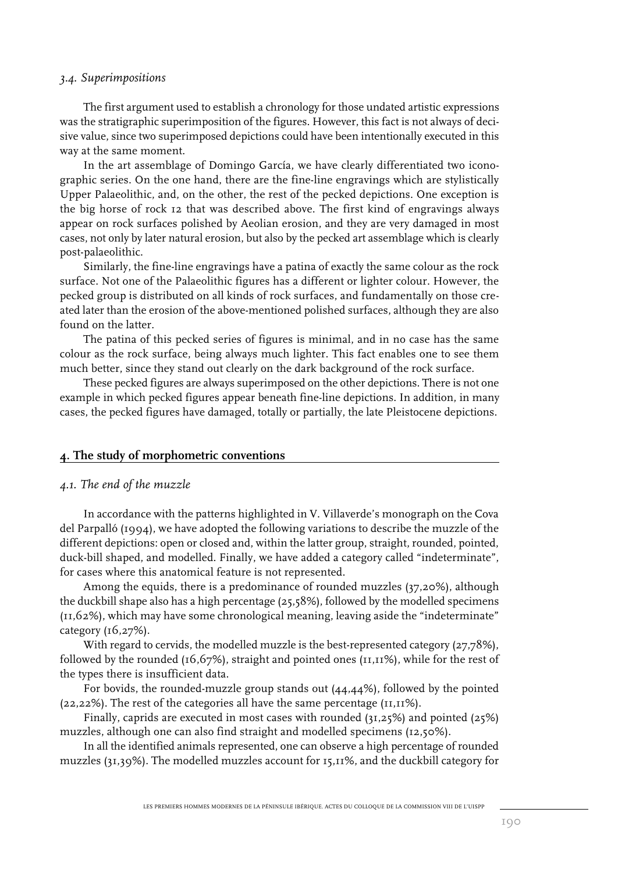#### *3.4. Superimpositions*

The first argument used to establish a chronology for those undated artistic expressions was the stratigraphic superimposition of the figures. However, this fact is not always of decisive value, since two superimposed depictions could have been intentionally executed in this way at the same moment.

In the art assemblage of Domingo García, we have clearly differentiated two iconographic series. On the one hand, there are the fine-line engravings which are stylistically Upper Palaeolithic, and, on the other, the rest of the pecked depictions. One exception is the big horse of rock 12 that was described above. The first kind of engravings always appear on rock surfaces polished by Aeolian erosion, and they are very damaged in most cases, not only by later natural erosion, but also by the pecked art assemblage which is clearly post-palaeolithic.

Similarly, the fine-line engravings have a patina of exactly the same colour as the rock surface. Not one of the Palaeolithic figures has a different or lighter colour. However, the pecked group is distributed on all kinds of rock surfaces, and fundamentally on those created later than the erosion of the above-mentioned polished surfaces, although they are also found on the latter.

The patina of this pecked series of figures is minimal, and in no case has the same colour as the rock surface, being always much lighter. This fact enables one to see them much better, since they stand out clearly on the dark background of the rock surface.

These pecked figures are always superimposed on the other depictions. There is not one example in which pecked figures appear beneath fine-line depictions. In addition, in many cases, the pecked figures have damaged, totally or partially, the late Pleistocene depictions.

#### **4. The study of morphometric conventions**

#### *4.1. The end of the muzzle*

In accordance with the patterns highlighted in V. Villaverde's monograph on the Cova del Parpalló (1994), we have adopted the following variations to describe the muzzle of the different depictions: open or closed and, within the latter group, straight, rounded, pointed, duck-bill shaped, and modelled. Finally, we have added a category called "indeterminate", for cases where this anatomical feature is not represented.

Among the equids, there is a predominance of rounded muzzles (37,20%), although the duckbill shape also has a high percentage (25,58%), followed by the modelled specimens (11,62%), which may have some chronological meaning, leaving aside the "indeterminate" category (16,27%).

With regard to cervids, the modelled muzzle is the best-represented category (27,78%), followed by the rounded (16,67%), straight and pointed ones (11,11%), while for the rest of the types there is insufficient data.

For bovids, the rounded-muzzle group stands out (44,44%), followed by the pointed (22,22%). The rest of the categories all have the same percentage (11,11%).

Finally, caprids are executed in most cases with rounded (31,25%) and pointed (25%) muzzles, although one can also find straight and modelled specimens (12,50%).

In all the identified animals represented, one can observe a high percentage of rounded muzzles (31,39%). The modelled muzzles account for 15,11%, and the duckbill category for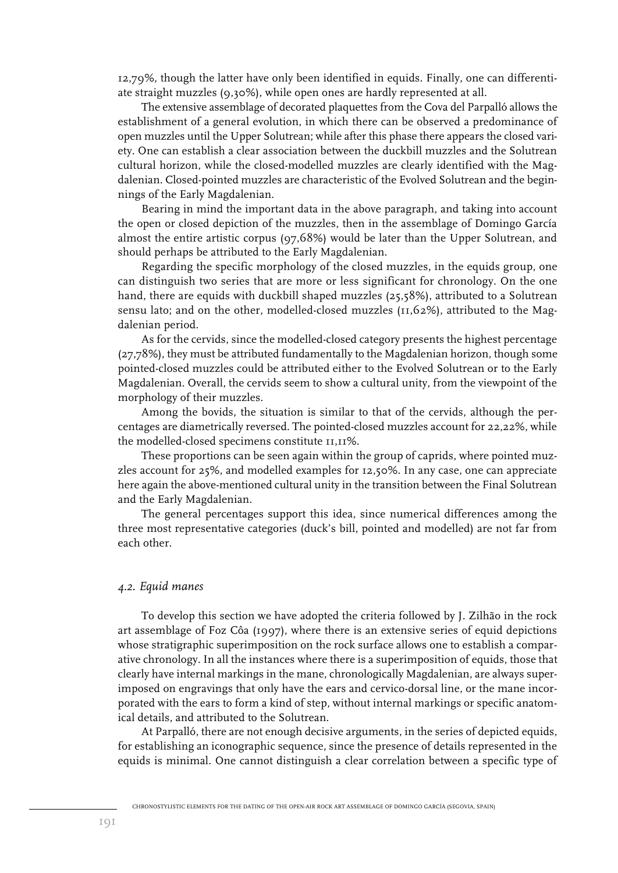12,79%, though the latter have only been identified in equids. Finally, one can differentiate straight muzzles (9,30%), while open ones are hardly represented at all.

The extensive assemblage of decorated plaquettes from the Cova del Parpalló allows the establishment of a general evolution, in which there can be observed a predominance of open muzzles until the Upper Solutrean; while after this phase there appears the closed variety. One can establish a clear association between the duckbill muzzles and the Solutrean cultural horizon, while the closed-modelled muzzles are clearly identified with the Magdalenian. Closed-pointed muzzles are characteristic of the Evolved Solutrean and the beginnings of the Early Magdalenian.

Bearing in mind the important data in the above paragraph, and taking into account the open or closed depiction of the muzzles, then in the assemblage of Domingo García almost the entire artistic corpus (97,68%) would be later than the Upper Solutrean, and should perhaps be attributed to the Early Magdalenian.

Regarding the specific morphology of the closed muzzles, in the equids group, one can distinguish two series that are more or less significant for chronology. On the one hand, there are equids with duckbill shaped muzzles (25,58%), attributed to a Solutrean sensu lato; and on the other, modelled-closed muzzles (11,62%), attributed to the Magdalenian period.

As for the cervids, since the modelled-closed category presents the highest percentage (27,78%), they must be attributed fundamentally to the Magdalenian horizon, though some pointed-closed muzzles could be attributed either to the Evolved Solutrean or to the Early Magdalenian. Overall, the cervids seem to show a cultural unity, from the viewpoint of the morphology of their muzzles.

Among the bovids, the situation is similar to that of the cervids, although the percentages are diametrically reversed. The pointed-closed muzzles account for 22,22%, while the modelled-closed specimens constitute 11,11%.

These proportions can be seen again within the group of caprids, where pointed muzzles account for 25%, and modelled examples for 12,50%. In any case, one can appreciate here again the above-mentioned cultural unity in the transition between the Final Solutrean and the Early Magdalenian.

The general percentages support this idea, since numerical differences among the three most representative categories (duck's bill, pointed and modelled) are not far from each other.

#### *4.2. Equid manes*

To develop this section we have adopted the criteria followed by J. Zilhão in the rock art assemblage of Foz Côa (1997), where there is an extensive series of equid depictions whose stratigraphic superimposition on the rock surface allows one to establish a comparative chronology. In all the instances where there is a superimposition of equids, those that clearly have internal markings in the mane, chronologically Magdalenian, are always superimposed on engravings that only have the ears and cervico-dorsal line, or the mane incorporated with the ears to form a kind of step, without internal markings or specific anatomical details, and attributed to the Solutrean.

At Parpalló, there are not enough decisive arguments, in the series of depicted equids, for establishing an iconographic sequence, since the presence of details represented in the equids is minimal. One cannot distinguish a clear correlation between a specific type of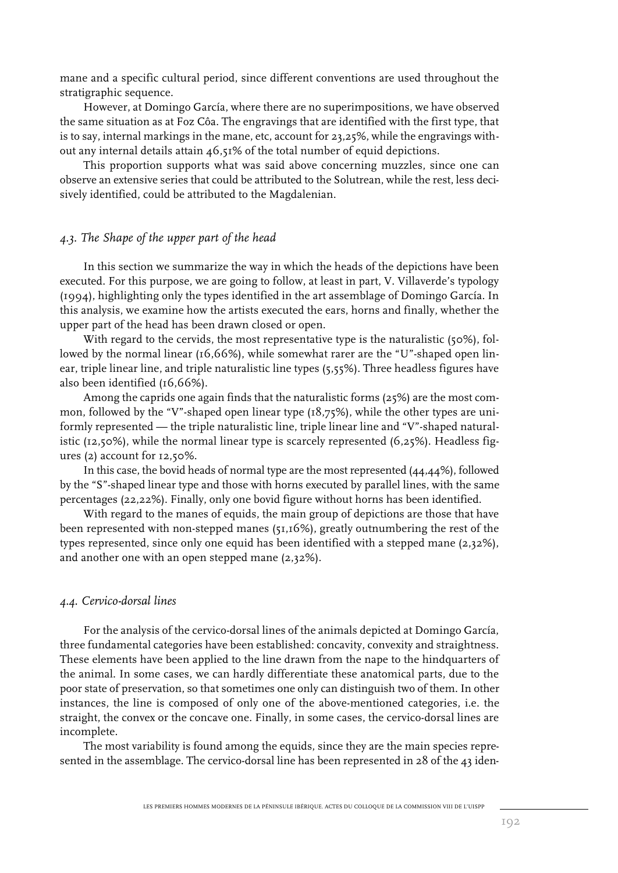mane and a specific cultural period, since different conventions are used throughout the stratigraphic sequence.

However, at Domingo García, where there are no superimpositions, we have observed the same situation as at Foz Côa. The engravings that are identified with the first type, that is to say, internal markings in the mane, etc, account for 23,25%, while the engravings without any internal details attain 46,51% of the total number of equid depictions.

This proportion supports what was said above concerning muzzles, since one can observe an extensive series that could be attributed to the Solutrean, while the rest, less decisively identified, could be attributed to the Magdalenian.

#### *4.3. The Shape of the upper part of the head*

In this section we summarize the way in which the heads of the depictions have been executed. For this purpose, we are going to follow, at least in part, V. Villaverde's typology (1994), highlighting only the types identified in the art assemblage of Domingo García. In this analysis, we examine how the artists executed the ears, horns and finally, whether the upper part of the head has been drawn closed or open.

With regard to the cervids, the most representative type is the naturalistic (50%), followed by the normal linear (16,66%), while somewhat rarer are the "U"-shaped open linear, triple linear line, and triple naturalistic line types (5,55%). Three headless figures have also been identified (16,66%).

Among the caprids one again finds that the naturalistic forms (25%) are the most common, followed by the "V"-shaped open linear type (18,75%), while the other types are uniformly represented — the triple naturalistic line, triple linear line and "V"-shaped naturalistic (12,50%), while the normal linear type is scarcely represented (6,25%). Headless figures (2) account for 12,50%.

In this case, the bovid heads of normal type are the most represented (44,44%), followed by the "S"-shaped linear type and those with horns executed by parallel lines, with the same percentages (22,22%). Finally, only one bovid figure without horns has been identified.

With regard to the manes of equids, the main group of depictions are those that have been represented with non-stepped manes (51,16%), greatly outnumbering the rest of the types represented, since only one equid has been identified with a stepped mane (2,32%), and another one with an open stepped mane (2,32%).

#### *4.4. Cervico-dorsal lines*

For the analysis of the cervico-dorsal lines of the animals depicted at Domingo García, three fundamental categories have been established: concavity, convexity and straightness. These elements have been applied to the line drawn from the nape to the hindquarters of the animal. In some cases, we can hardly differentiate these anatomical parts, due to the poor state of preservation, so that sometimes one only can distinguish two of them. In other instances, the line is composed of only one of the above-mentioned categories, i.e. the straight, the convex or the concave one. Finally, in some cases, the cervico-dorsal lines are incomplete.

The most variability is found among the equids, since they are the main species represented in the assemblage. The cervico-dorsal line has been represented in 28 of the 43 iden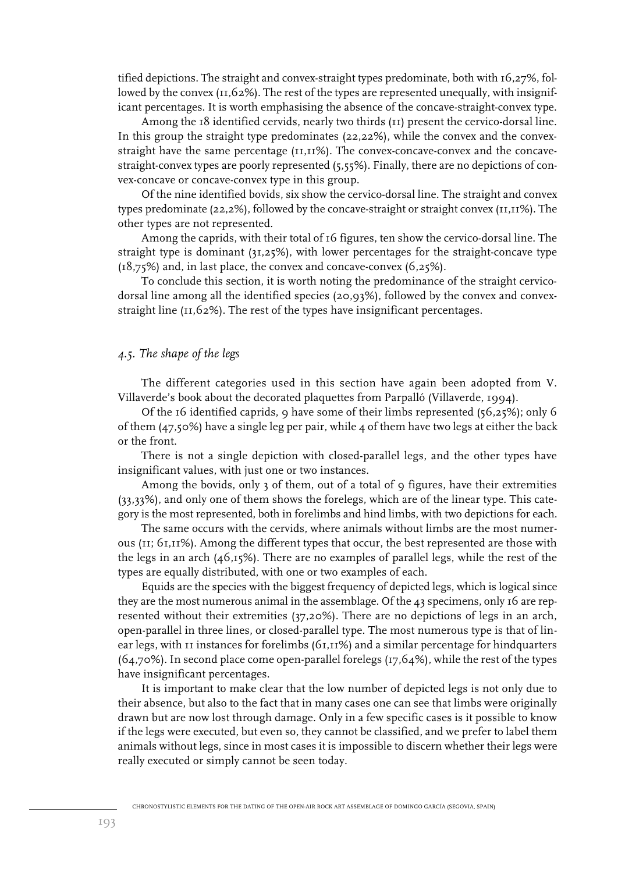tified depictions. The straight and convex-straight types predominate, both with 16,27%, followed by the convex (11,62%). The rest of the types are represented unequally, with insignificant percentages. It is worth emphasising the absence of the concave-straight-convex type.

Among the 18 identified cervids, nearly two thirds (11) present the cervico-dorsal line. In this group the straight type predominates (22,22%), while the convex and the convexstraight have the same percentage (11,11%). The convex-concave-convex and the concavestraight-convex types are poorly represented (5,55%). Finally, there are no depictions of convex-concave or concave-convex type in this group.

Of the nine identified bovids, six show the cervico-dorsal line. The straight and convex types predominate (22,2%), followed by the concave-straight or straight convex (11,11%). The other types are not represented.

Among the caprids, with their total of 16 figures, ten show the cervico-dorsal line. The straight type is dominant (31,25%), with lower percentages for the straight-concave type (18,75%) and, in last place, the convex and concave-convex (6,25%).

To conclude this section, it is worth noting the predominance of the straight cervicodorsal line among all the identified species (20,93%), followed by the convex and convexstraight line (11,62%). The rest of the types have insignificant percentages.

#### *4.5. The shape of the legs*

The different categories used in this section have again been adopted from V. Villaverde's book about the decorated plaquettes from Parpalló (Villaverde, 1994).

Of the 16 identified caprids, 9 have some of their limbs represented (56,25%); only 6 of them (47,50%) have a single leg per pair, while 4 of them have two legs at either the back or the front.

There is not a single depiction with closed-parallel legs, and the other types have insignificant values, with just one or two instances.

Among the bovids, only 3 of them, out of a total of 9 figures, have their extremities (33,33%), and only one of them shows the forelegs, which are of the linear type. This category is the most represented, both in forelimbs and hind limbs, with two depictions for each.

The same occurs with the cervids, where animals without limbs are the most numerous (11; 61,11%). Among the different types that occur, the best represented are those with the legs in an arch (46,15%). There are no examples of parallel legs, while the rest of the types are equally distributed, with one or two examples of each.

Equids are the species with the biggest frequency of depicted legs, which is logical since they are the most numerous animal in the assemblage. Of the 43 specimens, only 16 are represented without their extremities (37,20%). There are no depictions of legs in an arch, open-parallel in three lines, or closed-parallel type. The most numerous type is that of linear legs, with 11 instances for forelimbs (61,11%) and a similar percentage for hindquarters (64,70%). In second place come open-parallel forelegs (17,64%), while the rest of the types have insignificant percentages.

It is important to make clear that the low number of depicted legs is not only due to their absence, but also to the fact that in many cases one can see that limbs were originally drawn but are now lost through damage. Only in a few specific cases is it possible to know if the legs were executed, but even so, they cannot be classified, and we prefer to label them animals without legs, since in most cases it is impossible to discern whether their legs were really executed or simply cannot be seen today.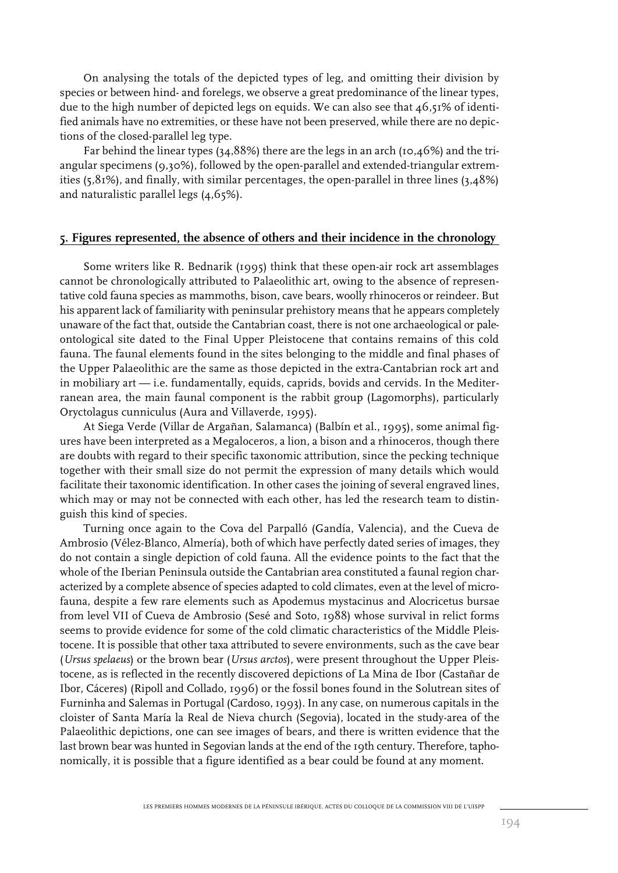On analysing the totals of the depicted types of leg, and omitting their division by species or between hind- and forelegs, we observe a great predominance of the linear types, due to the high number of depicted legs on equids. We can also see that  $46,51\%$  of identified animals have no extremities, or these have not been preserved, while there are no depictions of the closed-parallel leg type.

Far behind the linear types (34,88%) there are the legs in an arch (10,46%) and the triangular specimens (9,30%), followed by the open-parallel and extended-triangular extremities (5,81%), and finally, with similar percentages, the open-parallel in three lines (3,48%) and naturalistic parallel legs (4,65%).

#### **5. Figures represented, the absence of others and their incidence in the chronology**

Some writers like R. Bednarik (1995) think that these open-air rock art assemblages cannot be chronologically attributed to Palaeolithic art, owing to the absence of representative cold fauna species as mammoths, bison, cave bears, woolly rhinoceros or reindeer. But his apparent lack of familiarity with peninsular prehistory means that he appears completely unaware of the fact that, outside the Cantabrian coast, there is not one archaeological or paleontological site dated to the Final Upper Pleistocene that contains remains of this cold fauna. The faunal elements found in the sites belonging to the middle and final phases of the Upper Palaeolithic are the same as those depicted in the extra-Cantabrian rock art and in mobiliary art — i.e. fundamentally, equids, caprids, bovids and cervids. In the Mediterranean area, the main faunal component is the rabbit group (Lagomorphs), particularly Oryctolagus cunniculus (Aura and Villaverde, 1995).

At Siega Verde (Villar de Argañan, Salamanca) (Balbín et al., 1995), some animal figures have been interpreted as a Megaloceros, a lion, a bison and a rhinoceros, though there are doubts with regard to their specific taxonomic attribution, since the pecking technique together with their small size do not permit the expression of many details which would facilitate their taxonomic identification. In other cases the joining of several engraved lines, which may or may not be connected with each other, has led the research team to distinguish this kind of species.

Turning once again to the Cova del Parpalló (Gandía, Valencia), and the Cueva de Ambrosio (Vélez-Blanco, Almería), both of which have perfectly dated series of images, they do not contain a single depiction of cold fauna. All the evidence points to the fact that the whole of the Iberian Peninsula outside the Cantabrian area constituted a faunal region characterized by a complete absence of species adapted to cold climates, even at the level of microfauna, despite a few rare elements such as Apodemus mystacinus and Alocricetus bursae from level VII of Cueva de Ambrosio (Sesé and Soto, 1988) whose survival in relict forms seems to provide evidence for some of the cold climatic characteristics of the Middle Pleistocene. It is possible that other taxa attributed to severe environments, such as the cave bear (*Ursus spelaeus*) or the brown bear (*Ursus arctos*), were present throughout the Upper Pleistocene, as is reflected in the recently discovered depictions of La Mina de Ibor (Castañar de Ibor, Cáceres) (Ripoll and Collado, 1996) or the fossil bones found in the Solutrean sites of Furninha and Salemas in Portugal (Cardoso, 1993). In any case, on numerous capitals in the cloister of Santa María la Real de Nieva church (Segovia), located in the study-area of the Palaeolithic depictions, one can see images of bears, and there is written evidence that the last brown bear was hunted in Segovian lands at the end of the 19th century. Therefore, taphonomically, it is possible that a figure identified as a bear could be found at any moment.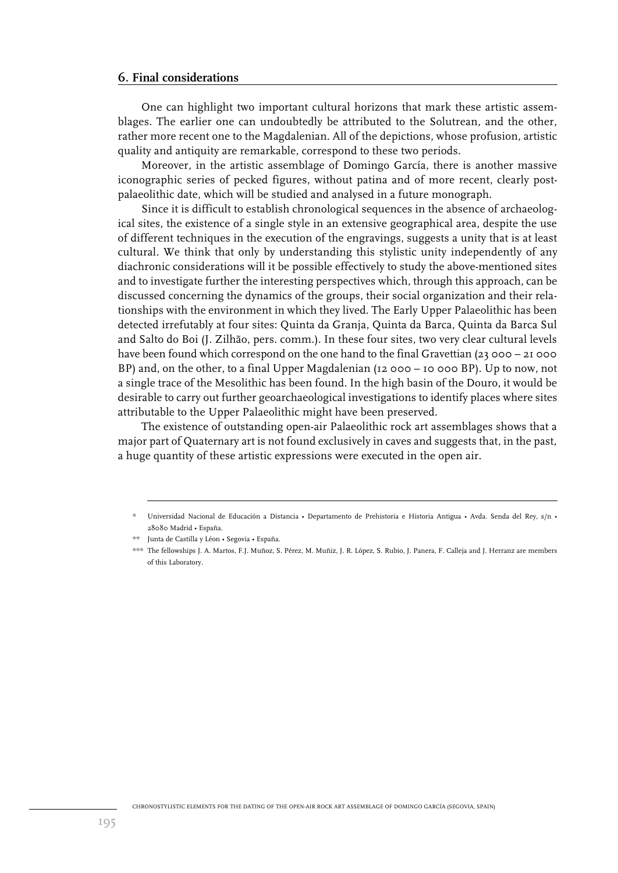#### **6. Final considerations**

One can highlight two important cultural horizons that mark these artistic assemblages. The earlier one can undoubtedly be attributed to the Solutrean, and the other, rather more recent one to the Magdalenian. All of the depictions, whose profusion, artistic quality and antiquity are remarkable, correspond to these two periods.

Moreover, in the artistic assemblage of Domingo García, there is another massive iconographic series of pecked figures, without patina and of more recent, clearly postpalaeolithic date, which will be studied and analysed in a future monograph.

Since it is difficult to establish chronological sequences in the absence of archaeological sites, the existence of a single style in an extensive geographical area, despite the use of different techniques in the execution of the engravings, suggests a unity that is at least cultural. We think that only by understanding this stylistic unity independently of any diachronic considerations will it be possible effectively to study the above-mentioned sites and to investigate further the interesting perspectives which, through this approach, can be discussed concerning the dynamics of the groups, their social organization and their relationships with the environment in which they lived. The Early Upper Palaeolithic has been detected irrefutably at four sites: Quinta da Granja, Quinta da Barca, Quinta da Barca Sul and Salto do Boi (J. Zilhão, pers. comm.). In these four sites, two very clear cultural levels have been found which correspond on the one hand to the final Gravettian (23 000 – 21 000 BP) and, on the other, to a final Upper Magdalenian (12 000 – 10 000 BP). Up to now, not a single trace of the Mesolithic has been found. In the high basin of the Douro, it would be desirable to carry out further geoarchaeological investigations to identify places where sites attributable to the Upper Palaeolithic might have been preserved.

The existence of outstanding open-air Palaeolithic rock art assemblages shows that a major part of Quaternary art is not found exclusively in caves and suggests that, in the past, a huge quantity of these artistic expressions were executed in the open air.

<sup>\*</sup> Universidad Nacional de Educación a Distancia • Departamento de Prehistoria e Historia Antigua • Avda. Senda del Rey, s/n • 28080 Madrid • España.

<sup>\*\*</sup> Junta de Castilla y Léon • Segovia • España.

<sup>\*\*\*</sup> The fellowships J. A. Martos, F.J. Muñoz, S. Pérez, M. Muñiz, J. R. López, S. Rubio, J. Panera, F. Calleja and J. Herranz are members of this Laboratory.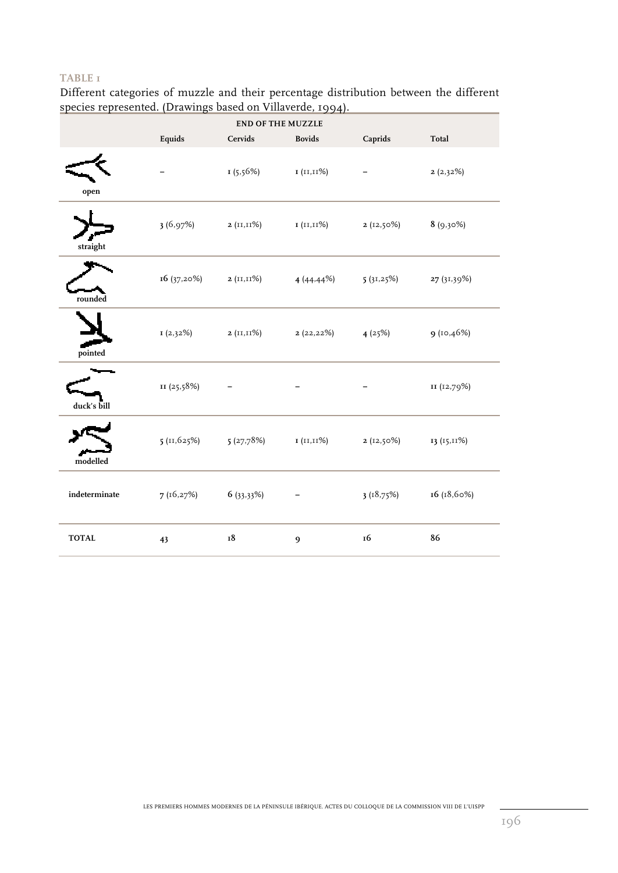Different categories of muzzle and their percentage distribution between the different species represented. (Drawings based on Villaverde, 1994).

| <b>END OF THE MUZZLE</b> |             |                                |                |           |             |  |
|--------------------------|-------------|--------------------------------|----------------|-----------|-------------|--|
|                          | Equids      | Cervids                        | <b>Bovids</b>  | Caprids   | Total       |  |
| open                     |             | 1(5.56%)                       | I (II,II%)     |           | 2(2,32%)    |  |
| straight                 | 3(6.97%)    | $2(11,11\%)$                   | 1 (11,11%)     | 2(12,50%) | $8(9,30\%)$ |  |
| rounded                  | 16(37,20%)  | 2 (II,II%)                     | 4(44.44%)      | 5(31,25%) | 27 (31,39%) |  |
| pointed                  | I(2,32%)    | 2 ( $\text{II}, \text{II}\%$ ) | 2(22,22%)      | 4(25%)    | 9 (10,46%)  |  |
| duck's bill              | II (25,58%) |                                |                |           | II (12,79%) |  |
| modelled                 | 5(11,625%)  | 5(27,78%)                      | I (II,II%)     | 2(12,50%) | 13 (15,11%) |  |
| indeterminate            | 7(16,27%)   | $6(33,33\%)$                   |                | 3(18,75%) | 16 (18,60%) |  |
| <b>TOTAL</b>             | 43          | 18                             | $\mathfrak{g}$ | 16        | 86          |  |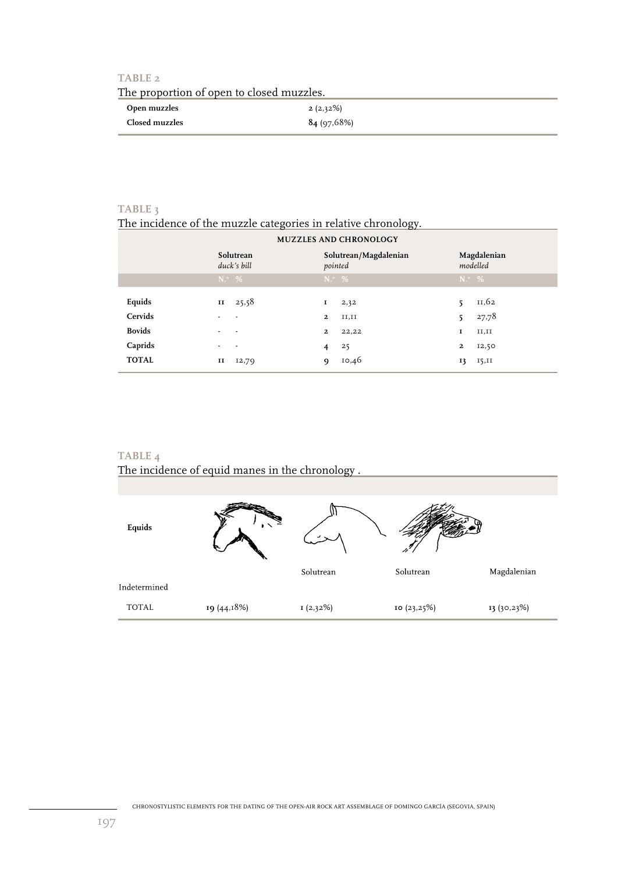| The proportion of open to closed muzzles. |             |  |  |  |
|-------------------------------------------|-------------|--|--|--|
| Open muzzles                              | $2(2,32\%)$ |  |  |  |
| Closed muzzles                            | 84(97,68%)  |  |  |  |

# **TABLE 3**

# The incidence of the muzzle categories in relative chronology.

| <b>MUZZLES AND CHRONOLOGY</b> |                                                              |                                     |                         |  |  |  |  |
|-------------------------------|--------------------------------------------------------------|-------------------------------------|-------------------------|--|--|--|--|
|                               | Solutrean/Magdalenian<br>Solutrean<br>duck's bill<br>pointed |                                     | Magdalenian<br>modelled |  |  |  |  |
|                               | $N^{\circ}$ %                                                | $N^{\circ}$ %                       | $N^{\circ}$ %           |  |  |  |  |
| Equids<br>Cervids             | 25,58<br>$\mathbf{I}$                                        | 2,32<br>1<br>$\mathbf{2}$<br>II, II | 11,62<br>27,78<br>5     |  |  |  |  |
| <b>Bovids</b>                 |                                                              | $\mathbf{2}$<br>22,22               | II, II<br>1             |  |  |  |  |
| Caprids                       |                                                              | 25<br>4                             | 2<br>12,50              |  |  |  |  |
| <b>TOTAL</b>                  | и<br>12,79                                                   | 10,46<br><b>Q</b>                   | 15,11<br>13             |  |  |  |  |

# **TABLE 4**

The incidence of equid manes in the chronology .

| Equids       |             |           |             |             |
|--------------|-------------|-----------|-------------|-------------|
|              |             | Solutrean | Solutrean   | Magdalenian |
| Indetermined |             |           |             |             |
| TOTAL        | 19 (44,18%) | I(2,32%)  | 10 (23,25%) | 13 (30,23%) |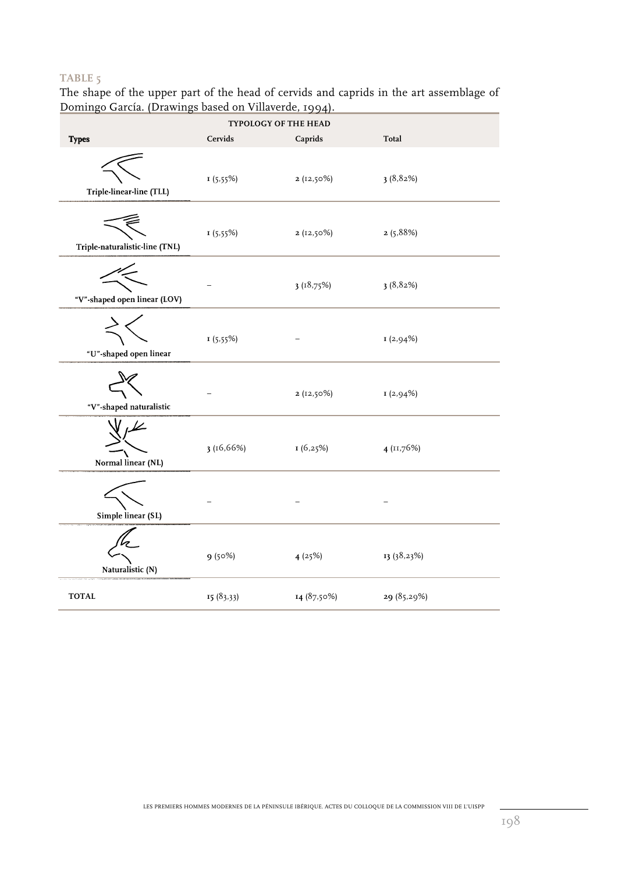The shape of the upper part of the head of cervids and caprids in the art assemblage of Domingo García. (Drawings based on Villaverde, 1994).

| TYPOLOGY OF THE HEAD           |           |              |              |  |  |  |
|--------------------------------|-----------|--------------|--------------|--|--|--|
| <b>Types</b>                   | Cervids   | Caprids      | Total        |  |  |  |
| Triple-linear-line (TLL)       | 1(5.55%)  | $2(12,50\%)$ | 3(8,82%)     |  |  |  |
| Triple-naturalistic-line (TNL) | 1(5.55%)  | $2(12,50\%)$ | 2(5,88%)     |  |  |  |
| "V"-shaped open linear (LOV)   |           | 3(18,75%)    | 3(8,82%)     |  |  |  |
| "U"-shaped open linear         | 1(5.55%)  |              | I(2,94%)     |  |  |  |
| "V"-shaped naturalistic        |           | $2(12,50\%)$ | I(2,94%)     |  |  |  |
| Normal linear (NL)             | 3(16,66%) | 1(6,25%)     | $4$ (11,76%) |  |  |  |
| Simple linear (SL)             |           |              |              |  |  |  |
| Naturalistic (N)               | 9(50%)    | 4(25%)       | 13 (38,23%)  |  |  |  |
| <b>TOTAL</b>                   | 15(83,33) | 14 (87,50%)  | 29 (85,29%)  |  |  |  |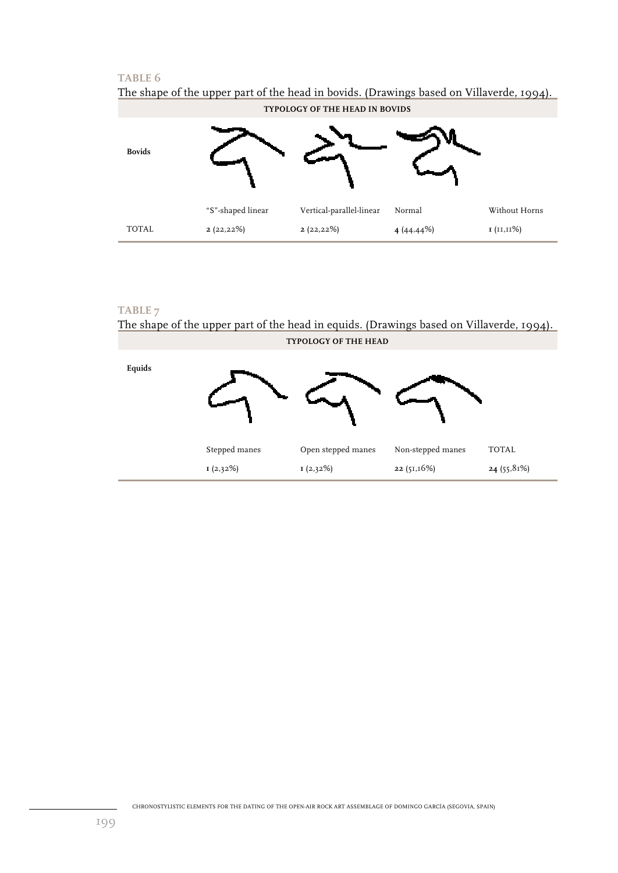| The shape of the appel part of the head in boylas. (Drawings based on vinaverac) 1994).<br>TYPOLOGY OF THE HEAD IN BOVIDS |                   |                          |              |               |  |  |
|---------------------------------------------------------------------------------------------------------------------------|-------------------|--------------------------|--------------|---------------|--|--|
| <b>Bovids</b>                                                                                                             |                   |                          |              |               |  |  |
|                                                                                                                           | "S"-shaped linear | Vertical-parallel-linear | Normal       | Without Horns |  |  |
| <b>TOTAL</b>                                                                                                              | 2(22,22%)         | 2(22,22%)                | 4 $(44.44%)$ | I (II,II%)    |  |  |

# The shape of the upper part of the head in bovids. (Drawings based on Villaverde, 1994).

# **TABLE 7**

The shape of the upper part of the head in equids. (Drawings based on Villaverde, 1994). **TYPOLOGY OF THE HEAD** 

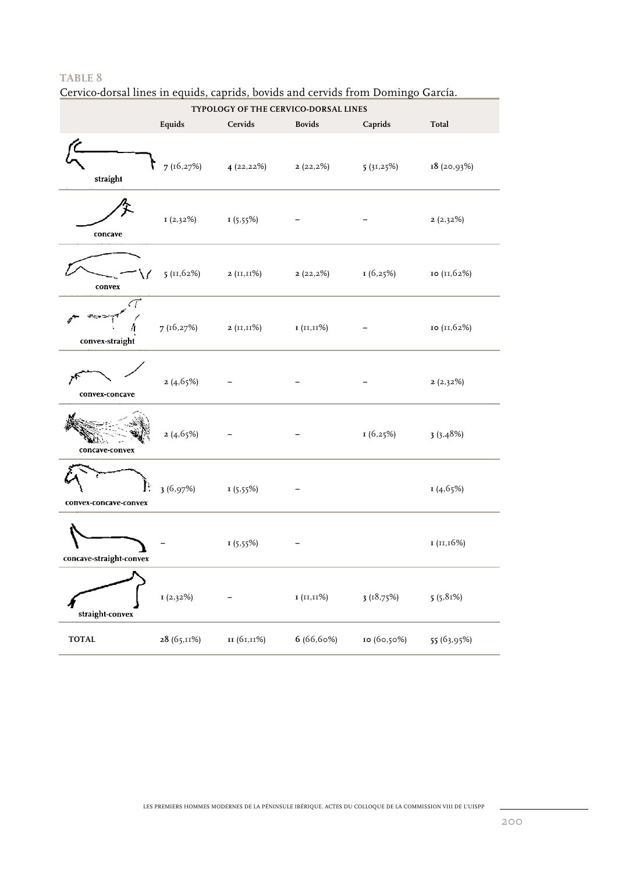Cervico-dorsal lines in equids, caprids, bovids and cervids from Domingo García.

|                         | TYPOLOGY OF THE CERVICO-DORSAL LINES |               |                          |             |             |  |
|-------------------------|--------------------------------------|---------------|--------------------------|-------------|-------------|--|
|                         | Equids                               | Cervids       | <b>Bovids</b>            | Caprids     | Total       |  |
| straight                | 7 (16,27%)                           | 4(22,22%)     | $2(22,2\%)$ $5(31,25\%)$ |             | 18(20,93%)  |  |
| concave                 | I(2,32%)                             | I(5,55%)      |                          |             | 2(2,32%)    |  |
| convex                  | 5(11,62%)                            | $2 (II,II\%)$ | 2(22,2)                  | 1(6,25%)    | 10 (11,62%) |  |
| convex-straight         | 7 (16,27%)                           | 2 (II,II%)    | 1 (II,II%)               |             | 10 (11,62%) |  |
| convex-concave          | 2(4.65%)                             |               |                          |             | 2(2,32%)    |  |
| concave-convex          | 2(4,65%)                             |               |                          | 1 (6,25%)   | 3(3,48%)    |  |
| convex-concave-convex   | 3(6,97%)                             | I(5,55%)      |                          |             | I(4,65%)    |  |
| concave-straight-convex |                                      | I(5,55%)      |                          |             | I (II, 16%) |  |
| straight-convex         | I(2,32%)                             |               | 1 (11,11%)               | 3(18,75%)   | 5(5,81%)    |  |
| <b>TOTAL</b>            | 28 (65,11%)                          | 11 (б1,11%)   | 6(66,60%)                | 10 (бо,50%) | 55 (63,95%) |  |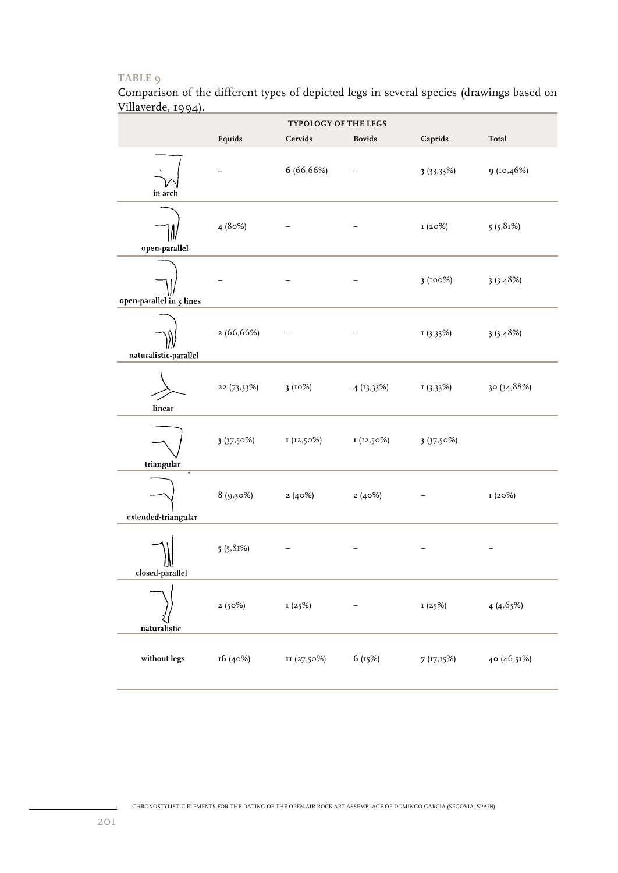Comparison of the different types of depicted legs in several species (drawings based on Villaverde, 1994).

|                          |               | TYPOLOGY OF THE LEGS |               |           |             |
|--------------------------|---------------|----------------------|---------------|-----------|-------------|
|                          | Equids        | Cervids              | <b>Bovids</b> | Caprids   | Total       |
| in arch                  |               | 6 (66,66%)           |               | 3(33,33%) | 9(10,46%)   |
| open-parallel            | 4(80%)        |                      |               | I(20%)    | 5(5,81%)    |
| open-parallel in 3 lines |               |                      | -             | 3(100%)   | 3(3.48%)    |
| naturalistic-parallel    | 2(66,66%)     |                      |               | I(3,33%)  | 3(3,48%)    |
| linear                   | $22(73,33\%)$ | 3(10%)               | 4(13,33%)     | I(3,33%)  | 30 (34,88%) |
| triangular               | 3(37.50%)     | I(12,50%)            | I (12,50%)    | 3(37.50%) |             |
| extended-triangular      | $8(9,30\%)$   | 2(40%)               | 2(40%)        |           | I(20%)      |
| closed-parallel          | 5(5,81%)      |                      |               |           |             |
| naturalistic             | 2(50%)        | 1(25%)               |               | 1(25%)    | 4(4.65%)    |
| without legs             | 16 (40%)      | II (27,50%)          | 6 (15%)       | 7(17,15%) | 40 (46,51%) |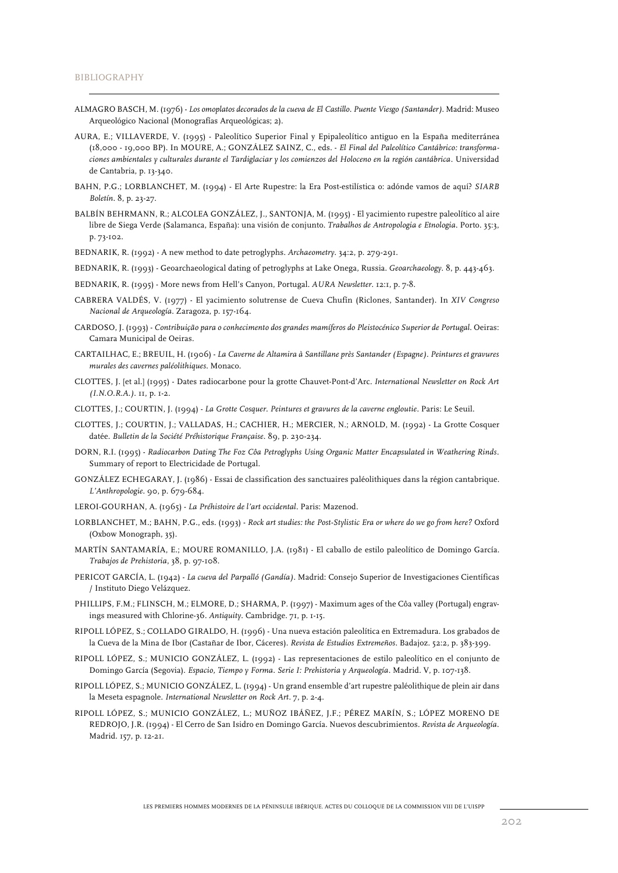- ALMAGRO BASCH, M. (1976) *Los omoplatos decorados de la cueva de El Castillo. Puente Viesgo (Santander)*. Madrid: Museo Arqueológico Nacional (Monografías Arqueológicas; 2).
- AURA, E.; VILLAVERDE, V. (1995) Paleolítico Superior Final y Epipaleolítico antiguo en la España mediterránea (18,000 - 19,000 BP). In MOURE, A.; GONZÁLEZ SAINZ, C., eds. - *El Final del Paleolítico Cantábrico: transformaciones ambientales y culturales durante el Tardiglaciar y los comienzos del Holoceno en la región cantábrica*. Universidad de Cantabria, p. 13-340.
- BAHN, P.G.; LORBLANCHET, M. (1994) El Arte Rupestre: la Era Post-estilística o: adónde vamos de aquí? *SIARB Boletín*. 8, p. 23-27.
- BALBÍN BEHRMANN, R.; ALCOLEA GONZÁLEZ, J., SANTONJA, M. (1995) El yacimiento rupestre paleolítico al aire libre de Siega Verde (Salamanca, España): una visión de conjunto. *Trabalhos de Antropologia e Etnologia*. Porto. 35:3, p. 73-102.

BEDNARIK, R. (1992) - A new method to date petroglyphs. *Archaeometry*. 34:2, p. 279-291.

- BEDNARIK, R. (1993) Geoarchaeological dating of petroglyphs at Lake Onega, Russia. *Geoarchaeology*. 8, p. 443-463.
- BEDNARIK, R. (1995) More news from Hell's Canyon, Portugal. *AURA Newsletter*. 12:1, p. 7-8.
- CABRERA VALDÉS, V. (1977) El yacimiento solutrense de Cueva Chufín (Riclones, Santander). In *XIV Congreso Nacional de Arqueología*. Zaragoza, p. 157-164.
- CARDOSO, J. (1993) *Contribuição para o conhecimento dos grandes mamíferos do Pleistocénico Superior de Portugal*. Oeiras: Camara Municipal de Oeiras.
- CARTAILHAC, E.; BREUIL, H. (1906) *La Caverne de Altamira à Santillane près Santander (Espagne). Peintures et gravures murales des cavernes paléolithiques*. Monaco.
- CLOTTES, J. [et al.] (1995) Dates radiocarbone pour la grotte Chauvet-Pont-d'Arc. *International Newsletter on Rock Art (I.N.O.R.A.)*. 11, p. 1-2.
- CLOTTES, J.; COURTIN, J. (1994) *La Grotte Cosquer. Peintures et gravures de la caverne engloutie*. Paris: Le Seuil.
- CLOTTES, J.; COURTIN, J.; VALLADAS, H.; CACHIER, H.; MERCIER, N.; ARNOLD, M. (1992) La Grotte Cosquer datée. *Bulletin de la Société Préhistorique Française*. 89, p. 230-234.
- DORN, R.I. (1995) *Radiocarbon Dating The Foz Côa Petroglyphs Using Organic Matter Encapsulated in Weathering Rinds*. Summary of report to Electricidade de Portugal.
- GONZÁLEZ ECHEGARAY, J. (1986) Essai de classification des sanctuaires paléolithiques dans la région cantabrique. *L'Anthropologie*. 90, p. 679-684.

LEROI-GOURHAN, A. (1965) - *La Préhistoire de l'art occidental*. Paris: Mazenod.

- LORBLANCHET, M.; BAHN, P.G., eds. (1993) *Rock art studies: the Post-Stylistic Era or where do we go from here?* Oxford (Oxbow Monograph, 35).
- MARTÍN SANTAMARÍA, E.; MOURE ROMANILLO, J.A. (1981) El caballo de estilo paleolítico de Domingo García. *Trabajos de Prehistoria*, 38, p. 97-108.
- PERICOT GARCÍA, L. (1942) *La cueva del Parpalló (Gandía)*. Madrid: Consejo Superior de Investigaciones Científicas / Instituto Diego Velázquez.
- PHILLIPS, F.M.; FLINSCH, M.; ELMORE, D.; SHARMA, P. (1997) Maximum ages of the Côa valley (Portugal) engravings measured with Chlorine-36. *Antiquity*. Cambridge. 71, p. 1-15.
- RIPOLL LÓPEZ, S.; COLLADO GIRALDO, H. (1996) Una nueva estación paleolítica en Extremadura. Los grabados de la Cueva de la Mina de Ibor (Castañar de Ibor, Cáceres). *Revista de Estudios Extremeños*. Badajoz. 52:2, p. 383-399.
- RIPOLL LÓPEZ, S.; MUNICIO GONZÁLEZ, L. (1992) Las representaciones de estilo paleolítico en el conjunto de Domingo García (Segovia). *Espacio, Tiempo y Forma. Serie I: Prehistoria y Arqueología*. Madrid. V, p. 107-138.
- RIPOLL LÓPEZ, S.; MUNICIO GONZÁLEZ, L. (1994) Un grand ensemble d'art rupestre paléolithique de plein air dans la Meseta espagnole. *International Newsletter on Rock Art*. 7, p. 2-4.
- RIPOLL LÓPEZ, S.; MUNICIO GONZÁLEZ, L.; MUÑOZ IBÁÑEZ, J.F.; PÉREZ MARÍN, S.; LÓPEZ MORENO DE REDROJO, J.R. (1994) - El Cerro de San Isidro en Domingo García. Nuevos descubrimientos. *Revista de Arqueología*. Madrid. 157, p. 12-21.